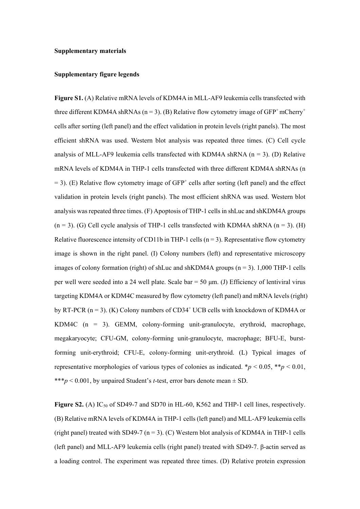#### **Supplementary materials**

### **Supplementary figure legends**

**Figure S1.** (A) Relative mRNA levels of KDM4A in MLL-AF9 leukemia cells transfected with three different KDM4A shRNAs ( $n = 3$ ). (B) Relative flow cytometry image of GFP<sup>+</sup> mCherry<sup>+</sup> cells after sorting (left panel) and the effect validation in protein levels (right panels). The most efficient shRNA was used. Western blot analysis was repeated three times. (C) Cell cycle analysis of MLL-AF9 leukemia cells transfected with KDM4A shRNA  $(n = 3)$ . (D) Relative mRNA levels of KDM4A in THP-1 cells transfected with three different KDM4A shRNAs (n  $= 3$ ). (E) Relative flow cytometry image of GFP<sup>+</sup> cells after sorting (left panel) and the effect validation in protein levels (right panels). The most efficient shRNA was used. Western blot analysis was repeated three times. (F) Apoptosis of THP-1 cells in shLuc and shKDM4A groups  $(n = 3)$ . (G) Cell cycle analysis of THP-1 cells transfected with KDM4A shRNA  $(n = 3)$ . (H) Relative fluorescence intensity of CD11b in THP-1 cells ( $n = 3$ ). Representative flow cytometry image is shown in the right panel. (I) Colony numbers (left) and representative microscopy images of colony formation (right) of shLuc and shKDM4A groups  $(n = 3)$ . 1,000 THP-1 cells per well were seeded into a 24 well plate. Scale bar = 50 μm. (J) Efficiency of lentiviral virus targeting KDM4A or KDM4C measured by flow cytometry (left panel) and mRNA levels (right) by RT-PCR ( $n = 3$ ). (K) Colony numbers of CD34<sup>+</sup> UCB cells with knockdown of KDM4A or KDM4C (n = 3). GEMM, colony-forming unit-granulocyte, erythroid, macrophage, megakaryocyte; CFU-GM, colony-forming unit-granulocyte, macrophage; BFU-E, burstforming unit-erythroid; CFU-E, colony-forming unit-erythroid. (L) Typical images of representative morphologies of various types of colonies as indicated.  $*p < 0.05$ ,  $**p < 0.01$ , \*\*\**p* < 0.001, by unpaired Student's *t*-test, error bars denote mean ± SD.

**Figure S2.** (A)  $IC_{50}$  of SD49-7 and SD70 in HL-60, K562 and THP-1 cell lines, respectively. (B) Relative mRNA levels of KDM4A in THP-1 cells (left panel) and MLL-AF9 leukemia cells (right panel) treated with SD49-7 ( $n = 3$ ). (C) Western blot analysis of KDM4A in THP-1 cells (left panel) and MLL-AF9 leukemia cells (right panel) treated with SD49-7. β-actin served as a loading control. The experiment was repeated three times. (D) Relative protein expression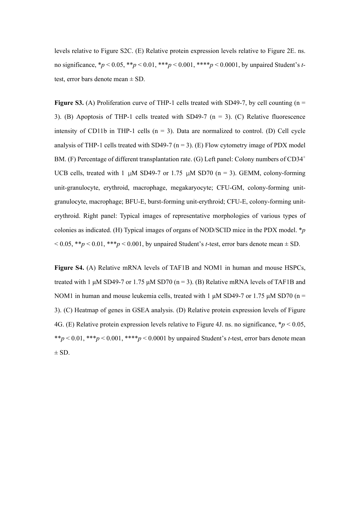levels relative to Figure S2C. (E) Relative protein expression levels relative to Figure 2E. ns. no significance, \**p* < 0.05, \*\**p* < 0.01, \*\*\**p* < 0.001, \*\*\*\**p* < 0.0001, by unpaired Student's *t*test, error bars denote mean ± SD.

**Figure S3.** (A) Proliferation curve of THP-1 cells treated with SD49-7, by cell counting  $(n = 1, 1)$ 3). (B) Apoptosis of THP-1 cells treated with SD49-7 ( $n = 3$ ). (C) Relative fluorescence intensity of CD11b in THP-1 cells  $(n = 3)$ . Data are normalized to control. (D) Cell cycle analysis of THP-1 cells treated with SD49-7 ( $n = 3$ ). (E) Flow cytometry image of PDX model BM. (F) Percentage of different transplantation rate. (G) Left panel: Colony numbers of  $CD34<sup>+</sup>$ UCB cells, treated with 1 μM SD49-7 or 1.75 μM SD70 (n = 3). GEMM, colony-forming unit-granulocyte, erythroid, macrophage, megakaryocyte; CFU-GM, colony-forming unitgranulocyte, macrophage; BFU-E, burst-forming unit-erythroid; CFU-E, colony-forming uniterythroid. Right panel: Typical images of representative morphologies of various types of colonies as indicated. (H) Typical images of organs of NOD/SCID mice in the PDX model. \**p*  $\leq 0.05$ , \*\**p*  $\leq 0.01$ , \*\*\**p*  $\leq 0.001$ , by unpaired Student's *t*-test, error bars denote mean  $\pm$  SD.

**Figure S4.** (A) Relative mRNA levels of TAF1B and NOM1 in human and mouse HSPCs, treated with 1  $\mu$ M SD49-7 or 1.75  $\mu$ M SD70 (n = 3). (B) Relative mRNA levels of TAF1B and NOM1 in human and mouse leukemia cells, treated with 1  $\mu$ M SD49-7 or 1.75  $\mu$ M SD70 (n = 3). (C) Heatmap of genes in GSEA analysis. (D) Relative protein expression levels of Figure 4G. (E) Relative protein expression levels relative to Figure 4J. ns. no significance,  $p < 0.05$ , \*\* $p \leq 0.01$ , \*\*\* $p \leq 0.001$ , \*\*\*\* $p \leq 0.0001$  by unpaired Student's *t*-test, error bars denote mean  $\pm$  SD.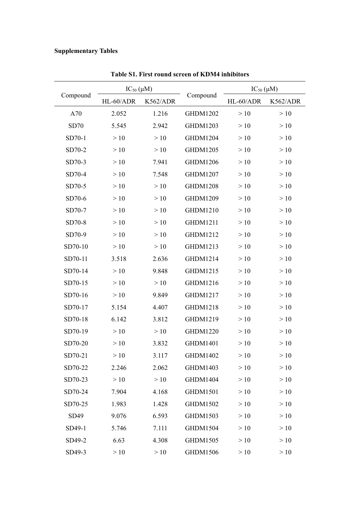## **Supplementary Tables**

|          |           | $IC_{50}(\mu M)$ |                 |           | $IC_{50}(\mu M)$ |  |
|----------|-----------|------------------|-----------------|-----------|------------------|--|
| Compound | HL-60/ADR | K562/ADR         | Compound        | HL-60/ADR | K562/ADR         |  |
| A70      | 2.052     | 1.216            | <b>GHDM1202</b> | >10       | >10              |  |
| SD70     | 5.545     | 2.942            | GHDM1203        | >10       | >10              |  |
| SD70-1   | >10       | >10              | <b>GHDM1204</b> | >10       | >10              |  |
| SD70-2   | >10       | >10              | GHDM1205        | >10       | >10              |  |
| SD70-3   | >10       | 7.941            | <b>GHDM1206</b> | >10       | >10              |  |
| SD70-4   | >10       | 7.548            | GHDM1207        | >10       | >10              |  |
| SD70-5   | >10       | >10              | <b>GHDM1208</b> | >10       | >10              |  |
| SD70-6   | >10       | >10              | GHDM1209        | >10       | >10              |  |
| SD70-7   | >10       | >10              | GHDM1210        | >10       | >10              |  |
| SD70-8   | >10       | >10              | <b>GHDM1211</b> | >10       | >10              |  |
| SD70-9   | >10       | >10              | GHDM1212        | >10       | >10              |  |
| SD70-10  | >10       | >10              | GHDM1213        | >10       | >10              |  |
| SD70-11  | 3.518     | 2.636            | GHDM1214        | >10       | >10              |  |
| SD70-14  | >10       | 9.848            | GHDM1215        | >10       | >10              |  |
| SD70-15  | >10       | >10              | GHDM1216        | >10       | >10              |  |
| SD70-16  | >10       | 9.849            | GHDM1217        | >10       | >10              |  |
| SD70-17  | 5.154     | 4.407            | GHDM1218        | >10       | >10              |  |
| SD70-18  | 6.142     | 3.812            | GHDM1219        | >10       | >10              |  |
| SD70-19  | >10       | >10              | <b>GHDM1220</b> | >10       | >10              |  |
| SD70-20  | >10       | 3.832            | GHDM1401        | >10       | >10              |  |
| SD70-21  | >10       | 3.117            | GHDM1402        | >10       | >10              |  |
| SD70-22  | 2.246     | 2.062            | GHDM1403        | >10       | >10              |  |
| SD70-23  | >10       | >10              | <b>GHDM1404</b> | >10       | >10              |  |
| SD70-24  | 7.904     | 4.168            | GHDM1501        | >10       | >10              |  |
| SD70-25  | 1.983     | 1.428            | GHDM1502        | >10       | >10              |  |
| SD49     | 9.076     | 6.593            | GHDM1503        | >10       | >10              |  |
| SD49-1   | 5.746     | 7.111            | GHDM1504        | >10       | >10              |  |
| SD49-2   | 6.63      | 4.308            | GHDM1505        | >10       | >10              |  |
| SD49-3   | >10       | >10              | GHDM1506        | >10       | >10              |  |

**Table S1. First round screen of KDM4 inhibitors**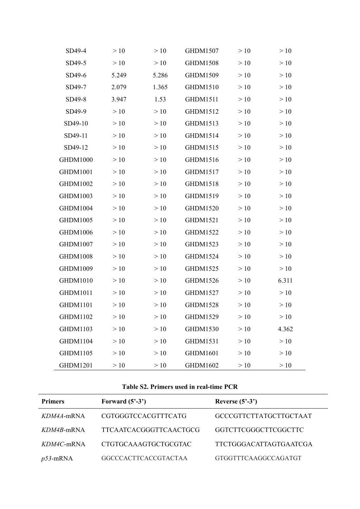| SD49-4          | >10   | >10   | GHDM1507        | >10   | >10   |
|-----------------|-------|-------|-----------------|-------|-------|
| SD49-5          | >10   | >10   | <b>GHDM1508</b> | >10   | >10   |
| SD49-6          | 5.249 | 5.286 | GHDM1509        | >10   | >10   |
| SD49-7          | 2.079 | 1.365 | GHDM1510        | $>10$ | >10   |
| SD49-8          | 3.947 | 1.53  | GHDM1511        | >10   | >10   |
| SD49-9          | >10   | >10   | GHDM1512        | >10   | >10   |
| SD49-10         | >10   | >10   | GHDM1513        | $>10$ | >10   |
| SD49-11         | >10   | >10   | GHDM1514        | >10   | >10   |
| SD49-12         | >10   | >10   | GHDM1515        | >10   | >10   |
| <b>GHDM1000</b> | >10   | >10   | GHDM1516        | $>10$ | >10   |
| GHDM1001        | >10   | >10   | GHDM1517        | >10   | >10   |
| GHDM1002        | >10   | >10   | GHDM1518        | >10   | >10   |
| GHDM1003        | >10   | >10   | GHDM1519        | $>10$ | >10   |
| GHDM1004        | >10   | >10   | GHDM1520        | >10   | >10   |
| GHDM1005        | >10   | >10   | GHDM1521        | >10   | >10   |
| GHDM1006        | >10   | >10   | GHDM1522        | >10   | $>10$ |
| GHDM1007        | >10   | >10   | GHDM1523        | >10   | >10   |
| <b>GHDM1008</b> | >10   | >10   | GHDM1524        | >10   | >10   |
| GHDM1009        | >10   | >10   | GHDM1525        | >10   | >10   |
| GHDM1010        | >10   | >10   | GHDM1526        | >10   | 6.311 |
| GHDM1011        | >10   | >10   | GHDM1527        | >10   | >10   |
| <b>GHDM1101</b> | >10   | >10   | GHDM1528        | >10   | >10   |
| GHDM1102        | >10   | >10   | GHDM1529        | >10   | >10   |
| GHDM1103        | >10   | >10   | GHDM1530        | >10   | 4.362 |
| <b>GHDM1104</b> | >10   | >10   | GHDM1531        | >10   | $>10$ |
| <b>GHDM1105</b> | >10   | >10   | GHDM1601        | >10   | >10   |
| GHDM1201        | >10   | >10   | GHDM1602        | $>10$ | >10   |

### **Table S2. Primers used in real-time PCR**

 $\overline{\phantom{a}}$ 

| <b>Primers</b> | Forward $(5'-3')$             | Reverse $(5^3-3^3)$           |
|----------------|-------------------------------|-------------------------------|
| $KDM4A$ -mRNA  | <b>CGTGGGTCCACGTTTCATG</b>    | <b>GCCCGTTCTTATGCTTGCTAAT</b> |
| $KDM4B$ -mRNA  | <b>TTCAATCACGGGTTCAACTGCG</b> | GGTCTTCGGGCTTCGGCTTC          |
| $KDM4C$ -mRNA  | CTGTGCAAAGTGCTGCGTAC          | <b>TTCTGGGACATTAGTGAATCGA</b> |
| $p53$ -mRNA    | <b>GGCCCACTTCACCGTACTAA</b>   | GTGGTTTCAAGGCCAGATGT          |